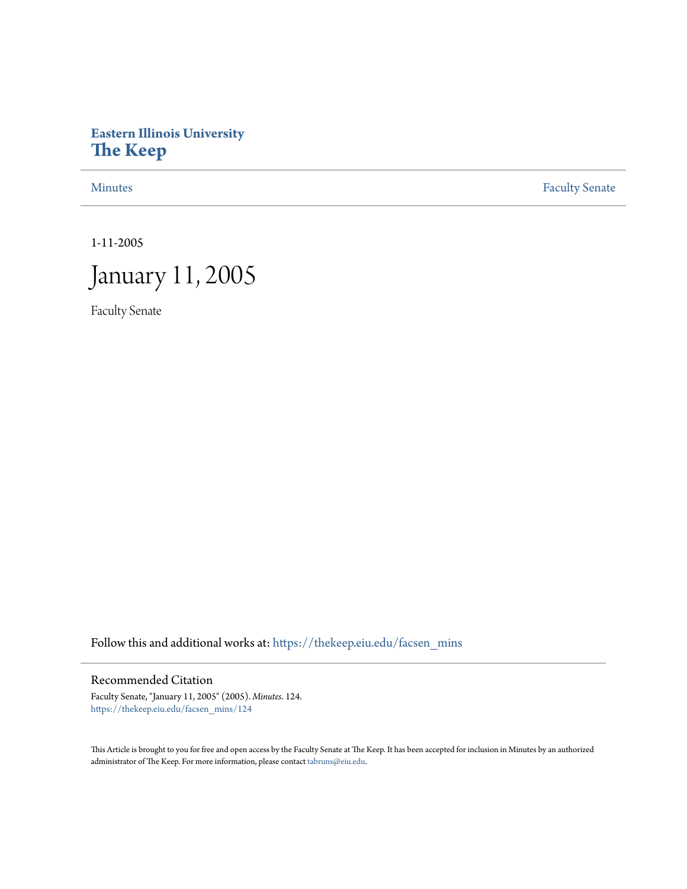## **Eastern Illinois University [The Keep](https://thekeep.eiu.edu?utm_source=thekeep.eiu.edu%2Ffacsen_mins%2F124&utm_medium=PDF&utm_campaign=PDFCoverPages)**

[Minutes](https://thekeep.eiu.edu/facsen_mins?utm_source=thekeep.eiu.edu%2Ffacsen_mins%2F124&utm_medium=PDF&utm_campaign=PDFCoverPages) **[Faculty Senate](https://thekeep.eiu.edu/fac_senate?utm_source=thekeep.eiu.edu%2Ffacsen_mins%2F124&utm_medium=PDF&utm_campaign=PDFCoverPages)** 

1-11-2005



Faculty Senate

Follow this and additional works at: [https://thekeep.eiu.edu/facsen\\_mins](https://thekeep.eiu.edu/facsen_mins?utm_source=thekeep.eiu.edu%2Ffacsen_mins%2F124&utm_medium=PDF&utm_campaign=PDFCoverPages)

## Recommended Citation

Faculty Senate, "January 11, 2005" (2005). *Minutes*. 124. [https://thekeep.eiu.edu/facsen\\_mins/124](https://thekeep.eiu.edu/facsen_mins/124?utm_source=thekeep.eiu.edu%2Ffacsen_mins%2F124&utm_medium=PDF&utm_campaign=PDFCoverPages)

This Article is brought to you for free and open access by the Faculty Senate at The Keep. It has been accepted for inclusion in Minutes by an authorized administrator of The Keep. For more information, please contact [tabruns@eiu.edu.](mailto:tabruns@eiu.edu)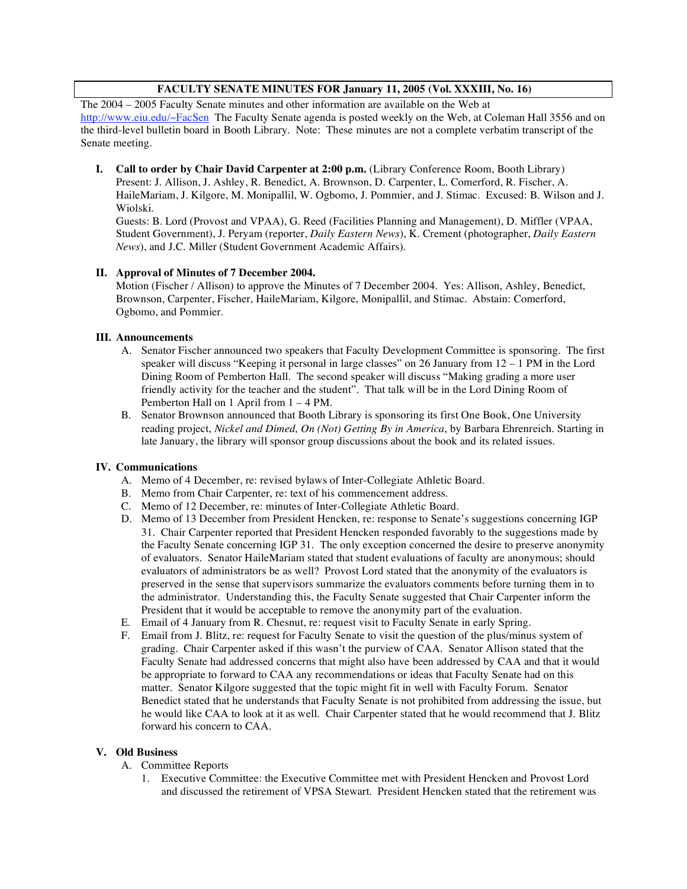## **FACULTY SENATE MINUTES FOR January 11, 2005 (Vol. XXXIII, No. 16)**

The 2004 – 2005 Faculty Senate minutes and other information are available on the Web at http://www.eiu.edu/~FacSen The Faculty Senate agenda is posted weekly on the Web, at Coleman Hall 3556 and on the third-level bulletin board in Booth Library. Note: These minutes are not a complete verbatim transcript of the Senate meeting.

**I. Call to order by Chair David Carpenter at 2:00 p.m.** (Library Conference Room, Booth Library) Present: J. Allison, J. Ashley, R. Benedict, A. Brownson, D. Carpenter, L. Comerford, R. Fischer, A. HaileMariam, J. Kilgore, M. Monipallil, W. Ogbomo, J. Pommier, and J. Stimac. Excused: B. Wilson and J. Wiolski.

Guests: B. Lord (Provost and VPAA), G. Reed (Facilities Planning and Management), D. Miffler (VPAA, Student Government), J. Peryam (reporter, *Daily Eastern News*), K. Crement (photographer, *Daily Eastern News*), and J.C. Miller (Student Government Academic Affairs).

## **II. Approval of Minutes of 7 December 2004.**

Motion (Fischer / Allison) to approve the Minutes of 7 December 2004. Yes: Allison, Ashley, Benedict, Brownson, Carpenter, Fischer, HaileMariam, Kilgore, Monipallil, and Stimac. Abstain: Comerford, Ogbomo, and Pommier.

#### **III. Announcements**

- A. Senator Fischer announced two speakers that Faculty Development Committee is sponsoring. The first speaker will discuss "Keeping it personal in large classes" on 26 January from 12 – 1 PM in the Lord Dining Room of Pemberton Hall. The second speaker will discuss "Making grading a more user friendly activity for the teacher and the student". That talk will be in the Lord Dining Room of Pemberton Hall on 1 April from 1 – 4 PM.
- B. Senator Brownson announced that Booth Library is sponsoring its first One Book, One University reading project, *Nickel and Dimed, On (Not) Getting By in America*, by Barbara Ehrenreich. Starting in late January, the library will sponsor group discussions about the book and its related issues.

## **IV. Communications**

- A. Memo of 4 December, re: revised bylaws of Inter-Collegiate Athletic Board.
- B. Memo from Chair Carpenter, re: text of his commencement address.
- C. Memo of 12 December, re: minutes of Inter-Collegiate Athletic Board.
- D. Memo of 13 December from President Hencken, re: response to Senate's suggestions concerning IGP 31. Chair Carpenter reported that President Hencken responded favorably to the suggestions made by the Faculty Senate concerning IGP 31. The only exception concerned the desire to preserve anonymity of evaluators. Senator HaileMariam stated that student evaluations of faculty are anonymous; should evaluators of administrators be as well? Provost Lord stated that the anonymity of the evaluators is preserved in the sense that supervisors summarize the evaluators comments before turning them in to the administrator. Understanding this, the Faculty Senate suggested that Chair Carpenter inform the President that it would be acceptable to remove the anonymity part of the evaluation.
- E. Email of 4 January from R. Chesnut, re: request visit to Faculty Senate in early Spring.
- F. Email from J. Blitz, re: request for Faculty Senate to visit the question of the plus/minus system of grading. Chair Carpenter asked if this wasn't the purview of CAA. Senator Allison stated that the Faculty Senate had addressed concerns that might also have been addressed by CAA and that it would be appropriate to forward to CAA any recommendations or ideas that Faculty Senate had on this matter. Senator Kilgore suggested that the topic might fit in well with Faculty Forum. Senator Benedict stated that he understands that Faculty Senate is not prohibited from addressing the issue, but he would like CAA to look at it as well. Chair Carpenter stated that he would recommend that J. Blitz forward his concern to CAA.

#### **V. Old Business**

- A. Committee Reports
	- 1. Executive Committee: the Executive Committee met with President Hencken and Provost Lord and discussed the retirement of VPSA Stewart. President Hencken stated that the retirement was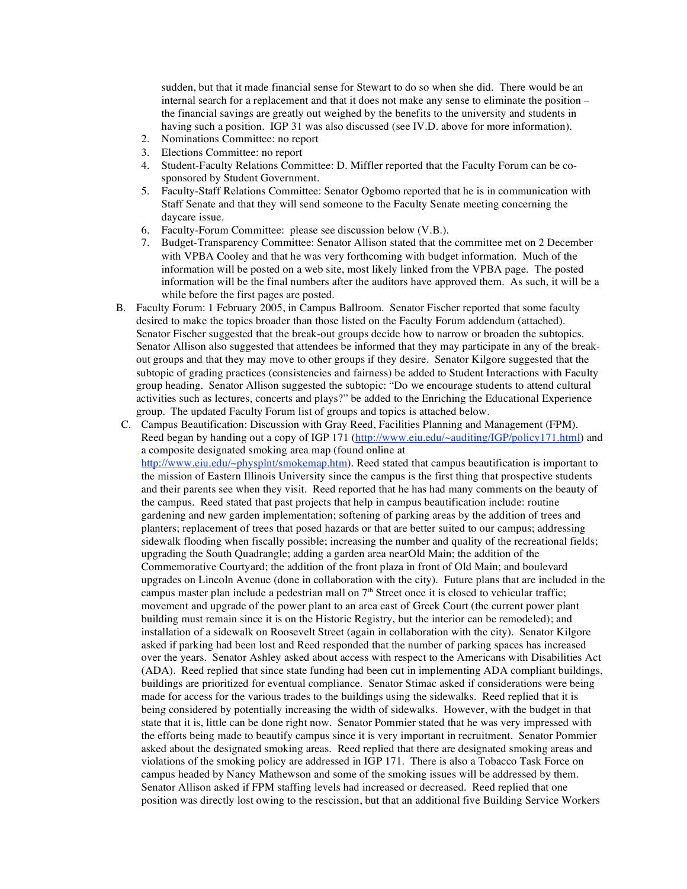sudden, but that it made financial sense for Stewart to do so when she did. There would be an internal search for a replacement and that it does not make any sense to eliminate the position – the financial savings are greatly out weighed by the benefits to the university and students in having such a position. IGP 31 was also discussed (see IV.D. above for more information).

- 2. Nominations Committee: no report
- 3. Elections Committee: no report
- 4. Student-Faculty Relations Committee: D. Miffler reported that the Faculty Forum can be cosponsored by Student Government.
- 5. Faculty-Staff Relations Committee: Senator Ogbomo reported that he is in communication with Staff Senate and that they will send someone to the Faculty Senate meeting concerning the daycare issue.
- 6. Faculty-Forum Committee: please see discussion below (V.B.).
- 7. Budget-Transparency Committee: Senator Allison stated that the committee met on 2 December with VPBA Cooley and that he was very forthcoming with budget information. Much of the information will be posted on a web site, most likely linked from the VPBA page. The posted information will be the final numbers after the auditors have approved them. As such, it will be a while before the first pages are posted.
- B. Faculty Forum: 1 February 2005, in Campus Ballroom. Senator Fischer reported that some faculty desired to make the topics broader than those listed on the Faculty Forum addendum (attached). Senator Fischer suggested that the break-out groups decide how to narrow or broaden the subtopics. Senator Allison also suggested that attendees be informed that they may participate in any of the breakout groups and that they may move to other groups if they desire. Senator Kilgore suggested that the subtopic of grading practices (consistencies and fairness) be added to Student Interactions with Faculty group heading. Senator Allison suggested the subtopic: "Do we encourage students to attend cultural activities such as lectures, concerts and plays?" be added to the Enriching the Educational Experience group. The updated Faculty Forum list of groups and topics is attached below.
- C. Campus Beautification: Discussion with Gray Reed, Facilities Planning and Management (FPM). Reed began by handing out a copy of IGP 171 (http://www.eiu.edu/~auditing/IGP/policy171.html) and a composite designated smoking area map (found online at http://www.eiu.edu/~physplnt/smokemap.htm). Reed stated that campus beautification is important to the mission of Eastern Illinois University since the campus is the first thing that prospective students and their parents see when they visit. Reed reported that he has had many comments on the beauty of the campus. Reed stated that past projects that help in campus beautification include: routine gardening and new garden implementation; softening of parking areas by the addition of trees and planters; replacement of trees that posed hazards or that are better suited to our campus; addressing sidewalk flooding when fiscally possible; increasing the number and quality of the recreational fields; upgrading the South Quadrangle; adding a garden area nearOld Main; the addition of the Commemorative Courtyard; the addition of the front plaza in front of Old Main; and boulevard upgrades on Lincoln Avenue (done in collaboration with the city). Future plans that are included in the campus master plan include a pedestrian mall on  $7<sup>th</sup>$  Street once it is closed to vehicular traffic; movement and upgrade of the power plant to an area east of Greek Court (the current power plant building must remain since it is on the Historic Registry, but the interior can be remodeled); and installation of a sidewalk on Roosevelt Street (again in collaboration with the city). Senator Kilgore asked if parking had been lost and Reed responded that the number of parking spaces has increased over the years. Senator Ashley asked about access with respect to the Americans with Disabilities Act (ADA). Reed replied that since state funding had been cut in implementing ADA compliant buildings, buildings are prioritized for eventual compliance. Senator Stimac asked if considerations were being made for access for the various trades to the buildings using the sidewalks. Reed replied that it is being considered by potentially increasing the width of sidewalks. However, with the budget in that state that it is, little can be done right now. Senator Pommier stated that he was very impressed with the efforts being made to beautify campus since it is very important in recruitment. Senator Pommier asked about the designated smoking areas. Reed replied that there are designated smoking areas and violations of the smoking policy are addressed in IGP 171. There is also a Tobacco Task Force on campus headed by Nancy Mathewson and some of the smoking issues will be addressed by them. Senator Allison asked if FPM staffing levels had increased or decreased. Reed replied that one position was directly lost owing to the rescission, but that an additional five Building Service Workers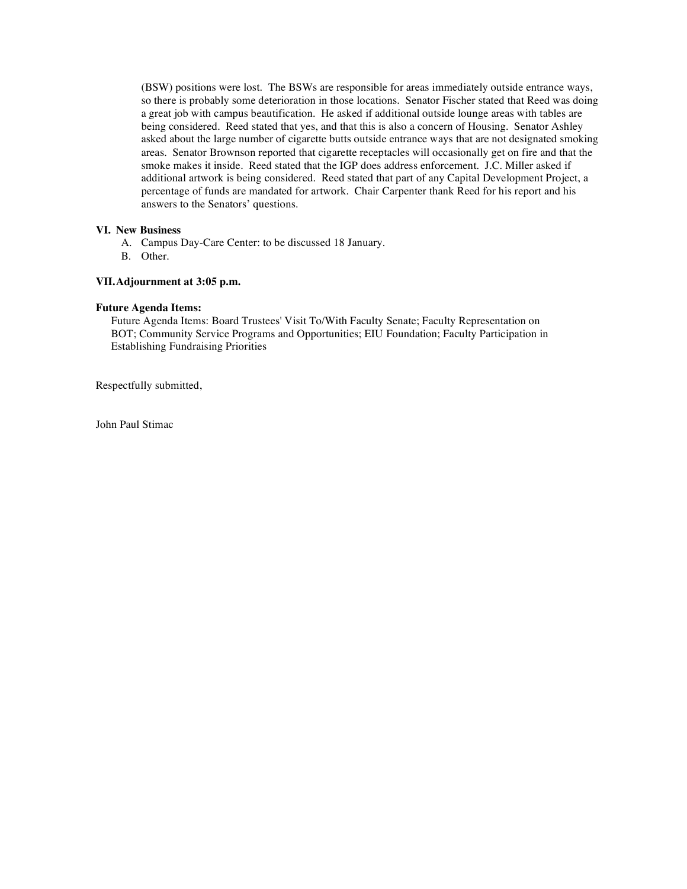(BSW) positions were lost. The BSWs are responsible for areas immediately outside entrance ways, so there is probably some deterioration in those locations. Senator Fischer stated that Reed was doing a great job with campus beautification. He asked if additional outside lounge areas with tables are being considered. Reed stated that yes, and that this is also a concern of Housing. Senator Ashley asked about the large number of cigarette butts outside entrance ways that are not designated smoking areas. Senator Brownson reported that cigarette receptacles will occasionally get on fire and that the smoke makes it inside. Reed stated that the IGP does address enforcement. J.C. Miller asked if additional artwork is being considered. Reed stated that part of any Capital Development Project, a percentage of funds are mandated for artwork. Chair Carpenter thank Reed for his report and his answers to the Senators' questions.

#### **VI. New Business**

- A. Campus Day-Care Center: to be discussed 18 January.
- B. Other.

#### **VII.Adjournment at 3:05 p.m.**

#### **Future Agenda Items:**

Future Agenda Items: Board Trustees' Visit To/With Faculty Senate; Faculty Representation on BOT; Community Service Programs and Opportunities; EIU Foundation; Faculty Participation in Establishing Fundraising Priorities

Respectfully submitted,

John Paul Stimac